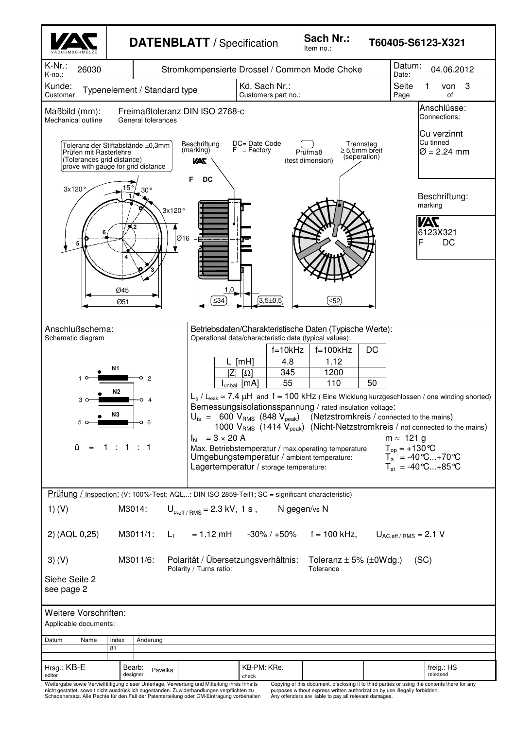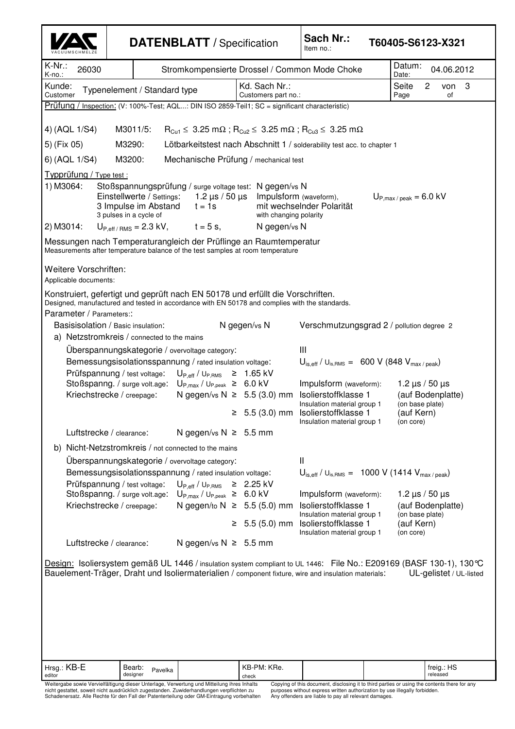|                                                                                                                                                                                                                                                                                                                                                                                                                                                                                                                                                                                        | <b>DATENBLATT</b> / Specification                                                                                                                                                |                                                                                             |                                  | Sach Nr.:<br>Item no.:                                                                                                                                                                            | T60405-S6123-X321                                                                                                                              |
|----------------------------------------------------------------------------------------------------------------------------------------------------------------------------------------------------------------------------------------------------------------------------------------------------------------------------------------------------------------------------------------------------------------------------------------------------------------------------------------------------------------------------------------------------------------------------------------|----------------------------------------------------------------------------------------------------------------------------------------------------------------------------------|---------------------------------------------------------------------------------------------|----------------------------------|---------------------------------------------------------------------------------------------------------------------------------------------------------------------------------------------------|------------------------------------------------------------------------------------------------------------------------------------------------|
| K-Nr.:<br>26030<br>$K$ -no.:                                                                                                                                                                                                                                                                                                                                                                                                                                                                                                                                                           | Stromkompensierte Drossel / Common Mode Choke                                                                                                                                    |                                                                                             |                                  |                                                                                                                                                                                                   | Datum:<br>04.06.2012<br>Date:                                                                                                                  |
| Kunde:<br>Typenelement / Standard type<br>Customer                                                                                                                                                                                                                                                                                                                                                                                                                                                                                                                                     |                                                                                                                                                                                  | Kd. Sach Nr.:<br>Seite<br>3<br>2<br>von<br>Customers part no.:<br>of<br>Page                |                                  |                                                                                                                                                                                                   |                                                                                                                                                |
| Prüfung /                                                                                                                                                                                                                                                                                                                                                                                                                                                                                                                                                                              | Inspection: (V: 100%-Test; AQL: DIN ISO 2859-Teil1; SC = significant characteristic)                                                                                             |                                                                                             |                                  |                                                                                                                                                                                                   |                                                                                                                                                |
| 4) (AQL 1/S4)                                                                                                                                                                                                                                                                                                                                                                                                                                                                                                                                                                          | M3011/5:                                                                                                                                                                         |                                                                                             |                                  | $R_{Cu1} \leq 3.25$ m $\Omega$ ; $R_{Cu2} \leq 3.25$ m $\Omega$ ; $R_{Cu3} \leq 3.25$ m $\Omega$                                                                                                  |                                                                                                                                                |
| 5) (Fix 05)                                                                                                                                                                                                                                                                                                                                                                                                                                                                                                                                                                            | M3290:                                                                                                                                                                           |                                                                                             |                                  | Lötbarkeitstest nach Abschnitt 1 / solderability test acc. to chapter 1                                                                                                                           |                                                                                                                                                |
| 6) (AQL 1/S4)<br>M3200:<br>Mechanische Prüfung / mechanical test                                                                                                                                                                                                                                                                                                                                                                                                                                                                                                                       |                                                                                                                                                                                  |                                                                                             |                                  |                                                                                                                                                                                                   |                                                                                                                                                |
| Typprüfung / Type test :<br>1) M3064:<br>Stoßspannungsprüfung / surge voltage test: N gegen/vs N<br>Einstellwerte / Settings:<br>1.2 $\mu$ s / 50 $\mu$ s<br>Impulsform (waveform),<br>$U_{P,max/peak} = 6.0$ kV<br>3 Impulse im Abstand<br>mit wechselnder Polarität<br>$t = 1s$<br>3 pulses in a cycle of<br>with changing polarity<br>2) M3014:<br>$U_{P,eff/RMS} = 2.3 \text{ kV}, \qquad t = 5 \text{ s},$<br>N gegen/vs N<br>Messungen nach Temperaturangleich der Prüflinge an Raumtemperatur<br>Measurements after temperature balance of the test samples at room temperature |                                                                                                                                                                                  |                                                                                             |                                  |                                                                                                                                                                                                   |                                                                                                                                                |
| Weitere Vorschriften:<br>Applicable documents:                                                                                                                                                                                                                                                                                                                                                                                                                                                                                                                                         |                                                                                                                                                                                  |                                                                                             |                                  |                                                                                                                                                                                                   |                                                                                                                                                |
| Parameter / Parameters::                                                                                                                                                                                                                                                                                                                                                                                                                                                                                                                                                               | Konstruiert, gefertigt und geprüft nach EN 50178 und erfüllt die Vorschriften.<br>Designed, manufactured and tested in accordance with EN 50178 and complies with the standards. |                                                                                             | N gegen/vs N                     |                                                                                                                                                                                                   |                                                                                                                                                |
| Basisisolation / Basic insulation:<br>a) Netzstromkreis / connected to the mains                                                                                                                                                                                                                                                                                                                                                                                                                                                                                                       |                                                                                                                                                                                  |                                                                                             |                                  | Verschmutzungsgrad 2 / pollution degree 2                                                                                                                                                         |                                                                                                                                                |
|                                                                                                                                                                                                                                                                                                                                                                                                                                                                                                                                                                                        | Uberspannungskategorie / overvoltage category:                                                                                                                                   |                                                                                             |                                  | Ш                                                                                                                                                                                                 |                                                                                                                                                |
|                                                                                                                                                                                                                                                                                                                                                                                                                                                                                                                                                                                        | Bemessungsisolationsspannung / rated insulation voltage:                                                                                                                         |                                                                                             |                                  | $U_{\text{is,eff}}$ / $U_{\text{is,RMS}} = 600 \text{ V}$ (848 $V_{\text{max/peak}}$ )                                                                                                            |                                                                                                                                                |
| Prüfspannung / test voltage:<br>Stoßspanng. / surge volt.age: $U_{P,max}$ / $U_{P,peak} \geq 6.0$ kV                                                                                                                                                                                                                                                                                                                                                                                                                                                                                   |                                                                                                                                                                                  | $U_{P,eff}/U_{P,RMS} \geq 1.65$ kV                                                          |                                  | Impulsform (waveform):<br>1.2 $\mu$ s / 50 $\mu$ s                                                                                                                                                |                                                                                                                                                |
|                                                                                                                                                                                                                                                                                                                                                                                                                                                                                                                                                                                        | Kriechstrecke / creepage:                                                                                                                                                        |                                                                                             | N gegen/vs $N \geq 5.5$ (3.0) mm | Isolierstoffklasse 1<br>(auf Bodenplatte)<br>(on base plate)<br>Insulation material group 1<br>$\geq$ 5.5 (3.0) mm Isolierstoffklasse 1<br>(auf Kern)<br>Insulation material group 1<br>(on core) |                                                                                                                                                |
|                                                                                                                                                                                                                                                                                                                                                                                                                                                                                                                                                                                        | Luftstrecke / clearance:                                                                                                                                                         | N gegen/vs $N \geq 5.5$ mm                                                                  |                                  |                                                                                                                                                                                                   |                                                                                                                                                |
| b) Nicht-Netzstromkreis / not connected to the mains                                                                                                                                                                                                                                                                                                                                                                                                                                                                                                                                   |                                                                                                                                                                                  |                                                                                             |                                  |                                                                                                                                                                                                   |                                                                                                                                                |
| Überspannungskategorie / overvoltage category:<br>Ш                                                                                                                                                                                                                                                                                                                                                                                                                                                                                                                                    |                                                                                                                                                                                  |                                                                                             |                                  |                                                                                                                                                                                                   |                                                                                                                                                |
| Bemessungsisolationsspannung / rated insulation voltage:                                                                                                                                                                                                                                                                                                                                                                                                                                                                                                                               |                                                                                                                                                                                  |                                                                                             |                                  | $U_{\text{is,eff}}$ / $U_{\text{is,RMS}} = 1000 \text{ V}$ (1414 $V_{\text{max/peak}}$ )                                                                                                          |                                                                                                                                                |
|                                                                                                                                                                                                                                                                                                                                                                                                                                                                                                                                                                                        | Prüfspannung / test voltage:                                                                                                                                                     | $U_{\text{P,eff}}$ / $U_{\text{P,RMS}}$ $\geq$ 2.25 kV                                      |                                  |                                                                                                                                                                                                   | 1.2 $\mu$ s / 50 $\mu$ s                                                                                                                       |
|                                                                                                                                                                                                                                                                                                                                                                                                                                                                                                                                                                                        | Stoßspanng. / surge volt.age: $U_{P,max}$ / $U_{P,peak} \geq 6.0$ kV<br>Kriechstrecke / creepage:                                                                                |                                                                                             | N gegen/to $N \geq 5.5$ (5.0) mm | Impulsform (waveform):<br>Isolierstoffklasse 1<br>Insulation material group 1                                                                                                                     | (auf Bodenplatte)<br>(on base plate)                                                                                                           |
|                                                                                                                                                                                                                                                                                                                                                                                                                                                                                                                                                                                        |                                                                                                                                                                                  |                                                                                             | $\geq 5.5(5.0)$ mm               | Isolierstoffklasse 1<br>(auf Kern)<br>Insulation material group 1<br>(on core)                                                                                                                    |                                                                                                                                                |
|                                                                                                                                                                                                                                                                                                                                                                                                                                                                                                                                                                                        | Luftstrecke / clearance:                                                                                                                                                         | N gegen/vs $N \geq 5.5$ mm                                                                  |                                  |                                                                                                                                                                                                   |                                                                                                                                                |
|                                                                                                                                                                                                                                                                                                                                                                                                                                                                                                                                                                                        |                                                                                                                                                                                  |                                                                                             |                                  | Bauelement-Träger, Draht und Isoliermaterialien / component fixture, wire and insulation materials:                                                                                               | Design: Isoliersystem gemäß UL 1446 / insulation system compliant to UL 1446: File No.: E209169 (BASF 130-1), 130 ℃<br>UL-gelistet / UL-listed |
| Hrsg.: KB-E                                                                                                                                                                                                                                                                                                                                                                                                                                                                                                                                                                            | Bearb:<br>Pavelka                                                                                                                                                                |                                                                                             | KB-PM: KRe.                      |                                                                                                                                                                                                   | freig.: HS                                                                                                                                     |
| editor                                                                                                                                                                                                                                                                                                                                                                                                                                                                                                                                                                                 | designer                                                                                                                                                                         | Weitergabe sowie Vervielfältigung dieser Unterlage, Verwertung und Mitteilung ihres Inhalts | check                            | Copying of this document, disclosing it to third parties or using the contents there for any                                                                                                      | released                                                                                                                                       |

Copying of this document, disclosing it to third parties or using the contents there for any<br>purposes without express written authorization by use illegally forbidden.<br>Any offenders are liable to pay all relevant damages.